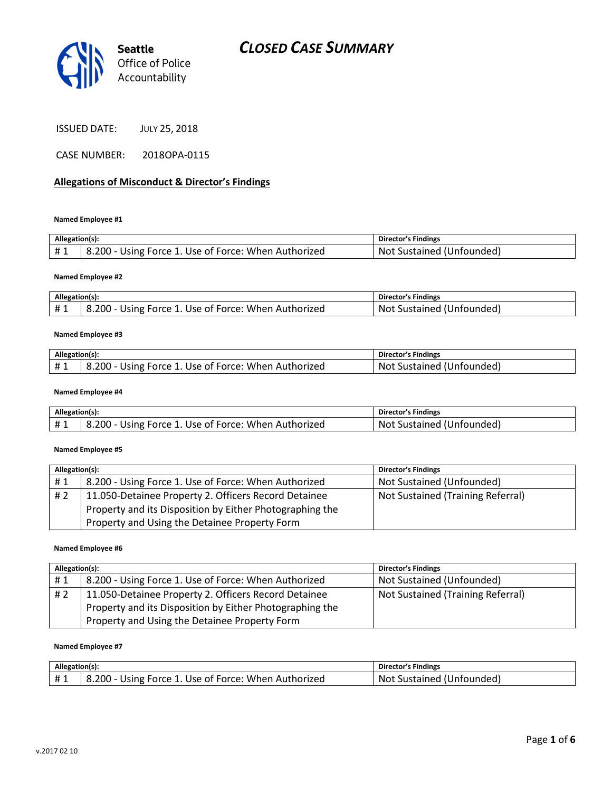

ISSUED DATE: JULY 25, 2018

CASE NUMBER: 2018OPA-0115

### Allegations of Misconduct & Director's Findings

Named Employee #1

| Allegation(s): |                                                      | <b>Director's Findings</b> |
|----------------|------------------------------------------------------|----------------------------|
| #1             | 8.200 - Using Force 1. Use of Force: When Authorized | Not Sustained (Unfounded)  |

#### Named Employee #2

| Allegation(s): |                                                               | <b>Director's Findings</b>           |
|----------------|---------------------------------------------------------------|--------------------------------------|
| ᅲᆚ             | ்' - 200. ه<br>- Using Force 1. Use of Force: When Authorized | . Unfounded)<br>.Not<br>Sustained (L |

#### Named Employee #3

| Allegation(s): |                                                      | <b>Director's Findings</b> |
|----------------|------------------------------------------------------|----------------------------|
| #1             | 8.200 - Using Force 1. Use of Force: When Authorized | Not Sustained (Unfounded)  |

#### Named Employee #4

| Allegation(s): |                                                      | <b>Director's Findings</b> |
|----------------|------------------------------------------------------|----------------------------|
|                | 3.200 - Using Force 1. Use of Force: When Authorized | Not Sustained (Unfounded)  |

#### Named Employee #5

| Allegation(s): |                                                          | <b>Director's Findings</b>        |
|----------------|----------------------------------------------------------|-----------------------------------|
| #1             | 8.200 - Using Force 1. Use of Force: When Authorized     | Not Sustained (Unfounded)         |
| #2             | 11.050-Detainee Property 2. Officers Record Detainee     | Not Sustained (Training Referral) |
|                | Property and its Disposition by Either Photographing the |                                   |
|                | Property and Using the Detainee Property Form            |                                   |

#### Named Employee #6

| Allegation(s): |                                                          | <b>Director's Findings</b>        |
|----------------|----------------------------------------------------------|-----------------------------------|
| #1             | 8.200 - Using Force 1. Use of Force: When Authorized     | Not Sustained (Unfounded)         |
| # 2            | 11.050-Detainee Property 2. Officers Record Detainee     | Not Sustained (Training Referral) |
|                | Property and its Disposition by Either Photographing the |                                   |
|                | Property and Using the Detainee Property Form            |                                   |

#### Named Employee #7

| Allegation(s): |                                                      | <b>Director's Findings</b>   |
|----------------|------------------------------------------------------|------------------------------|
| $+$ $\sim$     | 8.200 - Using Force 1. Use of Force: When Authorized | Not<br>Custained (Unfounded) |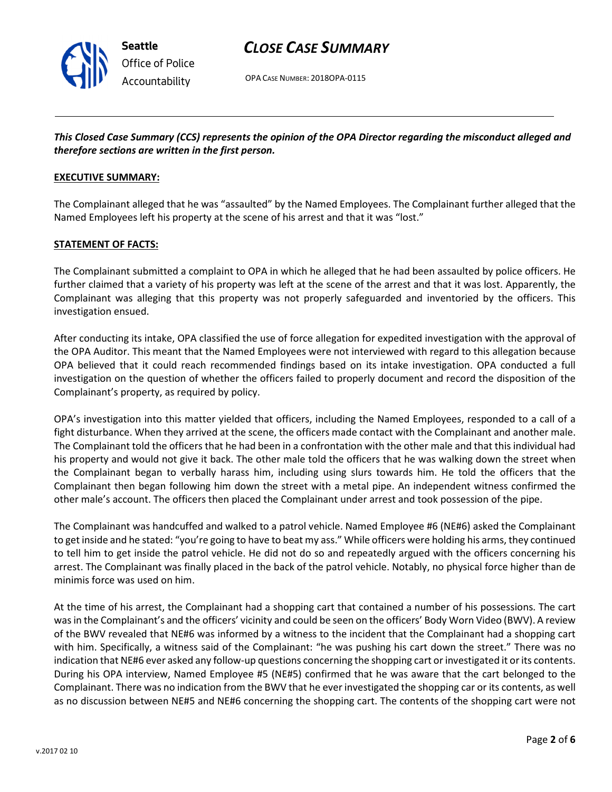

OPA CASE NUMBER: 2018OPA-0115

# This Closed Case Summary (CCS) represents the opinion of the OPA Director regarding the misconduct alleged and therefore sections are written in the first person.

### EXECUTIVE SUMMARY:

The Complainant alleged that he was "assaulted" by the Named Employees. The Complainant further alleged that the Named Employees left his property at the scene of his arrest and that it was "lost."

### STATEMENT OF FACTS:

The Complainant submitted a complaint to OPA in which he alleged that he had been assaulted by police officers. He further claimed that a variety of his property was left at the scene of the arrest and that it was lost. Apparently, the Complainant was alleging that this property was not properly safeguarded and inventoried by the officers. This investigation ensued.

After conducting its intake, OPA classified the use of force allegation for expedited investigation with the approval of the OPA Auditor. This meant that the Named Employees were not interviewed with regard to this allegation because OPA believed that it could reach recommended findings based on its intake investigation. OPA conducted a full investigation on the question of whether the officers failed to properly document and record the disposition of the Complainant's property, as required by policy.

OPA's investigation into this matter yielded that officers, including the Named Employees, responded to a call of a fight disturbance. When they arrived at the scene, the officers made contact with the Complainant and another male. The Complainant told the officers that he had been in a confrontation with the other male and that this individual had his property and would not give it back. The other male told the officers that he was walking down the street when the Complainant began to verbally harass him, including using slurs towards him. He told the officers that the Complainant then began following him down the street with a metal pipe. An independent witness confirmed the other male's account. The officers then placed the Complainant under arrest and took possession of the pipe.

The Complainant was handcuffed and walked to a patrol vehicle. Named Employee #6 (NE#6) asked the Complainant to get inside and he stated: "you're going to have to beat my ass." While officers were holding his arms, they continued to tell him to get inside the patrol vehicle. He did not do so and repeatedly argued with the officers concerning his arrest. The Complainant was finally placed in the back of the patrol vehicle. Notably, no physical force higher than de minimis force was used on him.

At the time of his arrest, the Complainant had a shopping cart that contained a number of his possessions. The cart was in the Complainant's and the officers' vicinity and could be seen on the officers' Body Worn Video (BWV). A review of the BWV revealed that NE#6 was informed by a witness to the incident that the Complainant had a shopping cart with him. Specifically, a witness said of the Complainant: "he was pushing his cart down the street." There was no indication that NE#6 ever asked any follow-up questions concerning the shopping cart or investigated it or its contents. During his OPA interview, Named Employee #5 (NE#5) confirmed that he was aware that the cart belonged to the Complainant. There was no indication from the BWV that he ever investigated the shopping car or its contents, as well as no discussion between NE#5 and NE#6 concerning the shopping cart. The contents of the shopping cart were not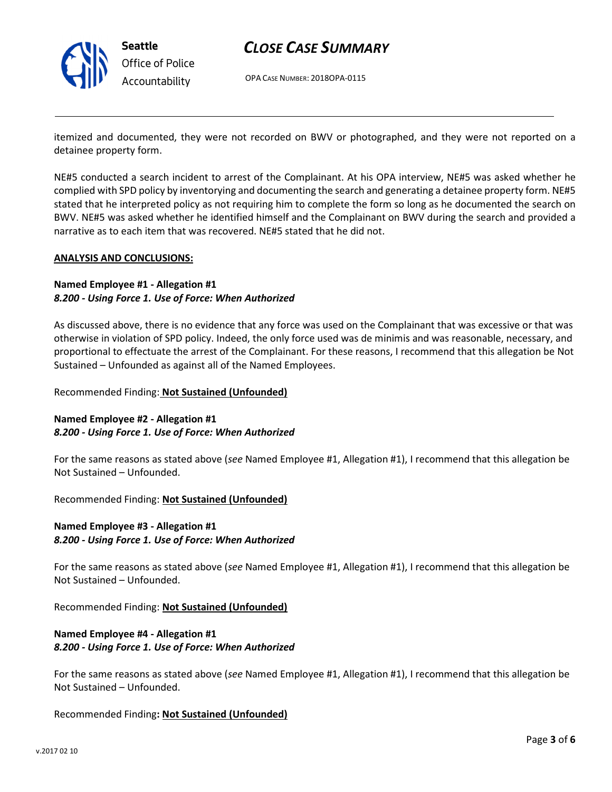

Seattle Office of Police Accountability

# CLOSE CASE SUMMARY

OPA CASE NUMBER: 2018OPA-0115

itemized and documented, they were not recorded on BWV or photographed, and they were not reported on a detainee property form.

NE#5 conducted a search incident to arrest of the Complainant. At his OPA interview, NE#5 was asked whether he complied with SPD policy by inventorying and documenting the search and generating a detainee property form. NE#5 stated that he interpreted policy as not requiring him to complete the form so long as he documented the search on BWV. NE#5 was asked whether he identified himself and the Complainant on BWV during the search and provided a narrative as to each item that was recovered. NE#5 stated that he did not.

### ANALYSIS AND CONCLUSIONS:

## Named Employee #1 - Allegation #1 8.200 - Using Force 1. Use of Force: When Authorized

As discussed above, there is no evidence that any force was used on the Complainant that was excessive or that was otherwise in violation of SPD policy. Indeed, the only force used was de minimis and was reasonable, necessary, and proportional to effectuate the arrest of the Complainant. For these reasons, I recommend that this allegation be Not Sustained – Unfounded as against all of the Named Employees.

### Recommended Finding: Not Sustained (Unfounded)

## Named Employee #2 - Allegation #1 8.200 - Using Force 1. Use of Force: When Authorized

For the same reasons as stated above (see Named Employee #1, Allegation #1), I recommend that this allegation be Not Sustained – Unfounded.

Recommended Finding: Not Sustained (Unfounded)

## Named Employee #3 - Allegation #1 8.200 - Using Force 1. Use of Force: When Authorized

For the same reasons as stated above (see Named Employee #1, Allegation #1), I recommend that this allegation be Not Sustained – Unfounded.

Recommended Finding: Not Sustained (Unfounded)

# Named Employee #4 - Allegation #1 8.200 - Using Force 1. Use of Force: When Authorized

For the same reasons as stated above (see Named Employee #1, Allegation #1), I recommend that this allegation be Not Sustained – Unfounded.

### Recommended Finding: Not Sustained (Unfounded)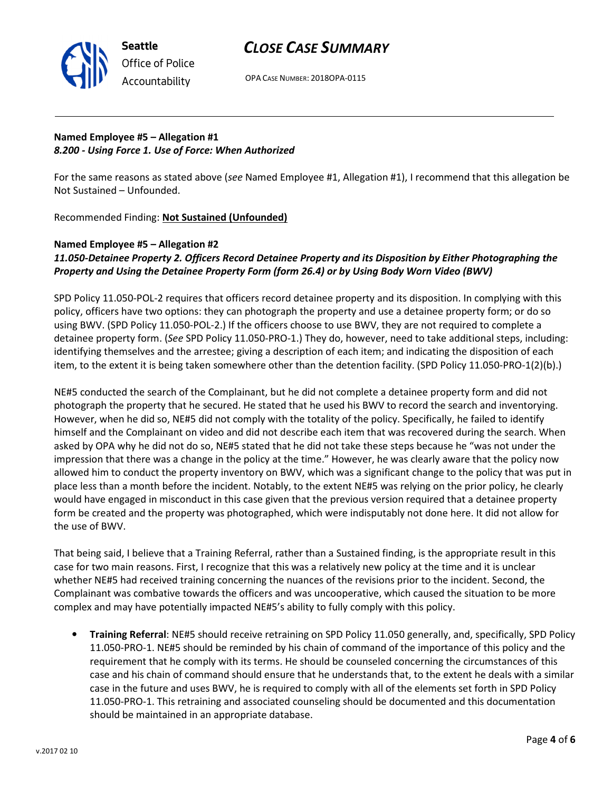

OPA CASE NUMBER: 2018OPA-0115

# Named Employee #5 – Allegation #1 8.200 - Using Force 1. Use of Force: When Authorized

For the same reasons as stated above (see Named Employee #1, Allegation #1), I recommend that this allegation be Not Sustained – Unfounded.

Recommended Finding: Not Sustained (Unfounded)

## Named Employee #5 – Allegation #2 11.050-Detainee Property 2. Officers Record Detainee Property and its Disposition by Either Photographing the Property and Using the Detainee Property Form (form 26.4) or by Using Body Worn Video (BWV)

SPD Policy 11.050-POL-2 requires that officers record detainee property and its disposition. In complying with this policy, officers have two options: they can photograph the property and use a detainee property form; or do so using BWV. (SPD Policy 11.050-POL-2.) If the officers choose to use BWV, they are not required to complete a detainee property form. (See SPD Policy 11.050-PRO-1.) They do, however, need to take additional steps, including: identifying themselves and the arrestee; giving a description of each item; and indicating the disposition of each item, to the extent it is being taken somewhere other than the detention facility. (SPD Policy 11.050-PRO-1(2)(b).)

NE#5 conducted the search of the Complainant, but he did not complete a detainee property form and did not photograph the property that he secured. He stated that he used his BWV to record the search and inventorying. However, when he did so, NE#5 did not comply with the totality of the policy. Specifically, he failed to identify himself and the Complainant on video and did not describe each item that was recovered during the search. When asked by OPA why he did not do so, NE#5 stated that he did not take these steps because he "was not under the impression that there was a change in the policy at the time." However, he was clearly aware that the policy now allowed him to conduct the property inventory on BWV, which was a significant change to the policy that was put in place less than a month before the incident. Notably, to the extent NE#5 was relying on the prior policy, he clearly would have engaged in misconduct in this case given that the previous version required that a detainee property form be created and the property was photographed, which were indisputably not done here. It did not allow for the use of BWV.

That being said, I believe that a Training Referral, rather than a Sustained finding, is the appropriate result in this case for two main reasons. First, I recognize that this was a relatively new policy at the time and it is unclear whether NE#5 had received training concerning the nuances of the revisions prior to the incident. Second, the Complainant was combative towards the officers and was uncooperative, which caused the situation to be more complex and may have potentially impacted NE#5's ability to fully comply with this policy.

• Training Referral: NE#5 should receive retraining on SPD Policy 11.050 generally, and, specifically, SPD Policy 11.050-PRO-1. NE#5 should be reminded by his chain of command of the importance of this policy and the requirement that he comply with its terms. He should be counseled concerning the circumstances of this case and his chain of command should ensure that he understands that, to the extent he deals with a similar case in the future and uses BWV, he is required to comply with all of the elements set forth in SPD Policy 11.050-PRO-1. This retraining and associated counseling should be documented and this documentation should be maintained in an appropriate database.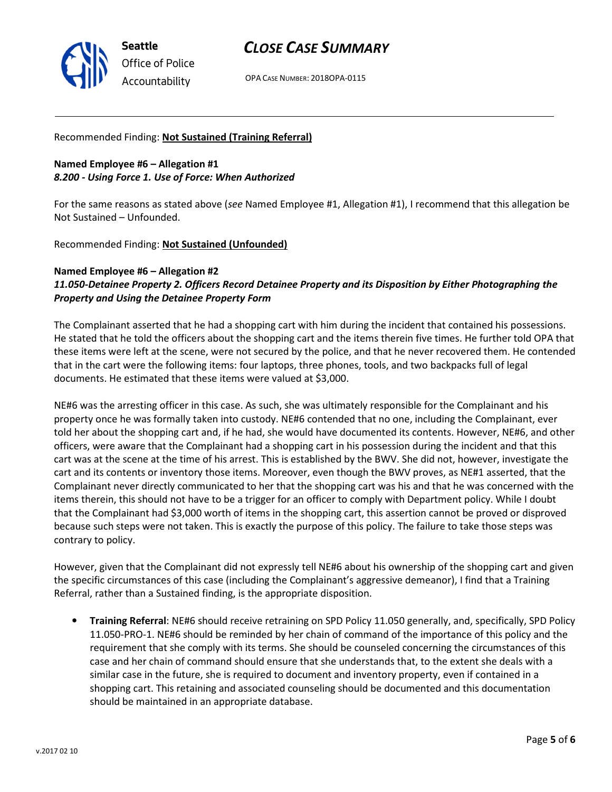

OPA CASE NUMBER: 2018OPA-0115

## Recommended Finding: Not Sustained (Training Referral)

Named Employee #6 – Allegation #1 8.200 - Using Force 1. Use of Force: When Authorized

For the same reasons as stated above (see Named Employee #1, Allegation #1), I recommend that this allegation be Not Sustained – Unfounded.

Recommended Finding: Not Sustained (Unfounded)

## Named Employee #6 – Allegation #2 11.050-Detainee Property 2. Officers Record Detainee Property and its Disposition by Either Photographing the Property and Using the Detainee Property Form

The Complainant asserted that he had a shopping cart with him during the incident that contained his possessions. He stated that he told the officers about the shopping cart and the items therein five times. He further told OPA that these items were left at the scene, were not secured by the police, and that he never recovered them. He contended that in the cart were the following items: four laptops, three phones, tools, and two backpacks full of legal documents. He estimated that these items were valued at \$3,000.

NE#6 was the arresting officer in this case. As such, she was ultimately responsible for the Complainant and his property once he was formally taken into custody. NE#6 contended that no one, including the Complainant, ever told her about the shopping cart and, if he had, she would have documented its contents. However, NE#6, and other officers, were aware that the Complainant had a shopping cart in his possession during the incident and that this cart was at the scene at the time of his arrest. This is established by the BWV. She did not, however, investigate the cart and its contents or inventory those items. Moreover, even though the BWV proves, as NE#1 asserted, that the Complainant never directly communicated to her that the shopping cart was his and that he was concerned with the items therein, this should not have to be a trigger for an officer to comply with Department policy. While I doubt that the Complainant had \$3,000 worth of items in the shopping cart, this assertion cannot be proved or disproved because such steps were not taken. This is exactly the purpose of this policy. The failure to take those steps was contrary to policy.

However, given that the Complainant did not expressly tell NE#6 about his ownership of the shopping cart and given the specific circumstances of this case (including the Complainant's aggressive demeanor), I find that a Training Referral, rather than a Sustained finding, is the appropriate disposition.

• Training Referral: NE#6 should receive retraining on SPD Policy 11.050 generally, and, specifically, SPD Policy 11.050-PRO-1. NE#6 should be reminded by her chain of command of the importance of this policy and the requirement that she comply with its terms. She should be counseled concerning the circumstances of this case and her chain of command should ensure that she understands that, to the extent she deals with a similar case in the future, she is required to document and inventory property, even if contained in a shopping cart. This retaining and associated counseling should be documented and this documentation should be maintained in an appropriate database.